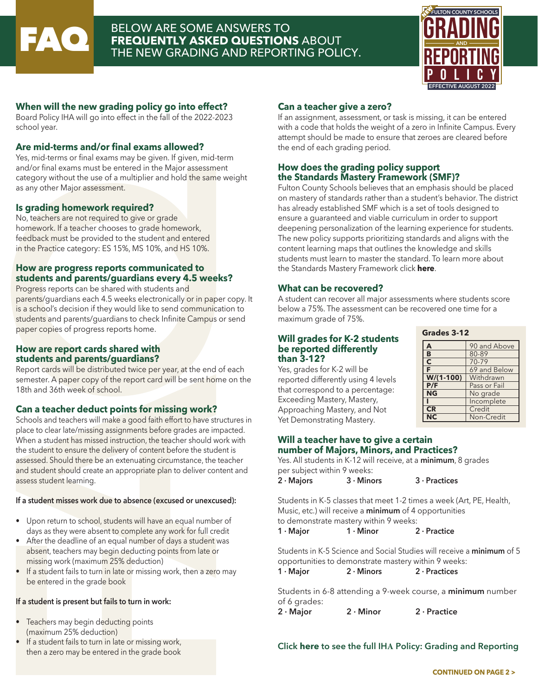

## **FAQ BELOW ARE SOME ANSWERS TO<br>FREQUENTLY ASKED QUESTION<br>THE NEW GRADING AND REPORT FREQUENTLY ASKED QUESTIONS** ABOUT THE NEW GRADING AND REPORTING POLICY.



## **When will the new grading policy go into effect?**

Board Policy IHA will go into effect in the fall of the 2022-2023 school year.

## **Are mid-terms and/or final exams allowed?**

Yes, mid-terms or final exams may be given. If given, mid-term and/or final exams must be entered in the Major assessment category without the use of a multiplier and hold the same weight as any other Major assessment.

## **Is grading homework required?**

No, teachers are not required to give or grade homework. If a teacher chooses to grade homework, feedback must be provided to the student and entered in the Practice category: ES 15%, MS 10%, and HS 10%.

## **How are progress reports communicated to students and parents/guardians every 4.5 weeks?**

Progress reports can be shared with students and parents/guardians each 4.5 weeks electronically or in paper copy. It is a school's decision if they would like to send communication to students and parents/guardians to check Infinite Campus or send paper copies of progress reports home.

#### **How are report cards shared with students and parents/guardians?**

Report cards will be distributed twice per year, at the end of each semester. A paper copy of the report card will be sent home on the 18th and 36th week of school.

## **Can a teacher deduct points for missing work?**

Schools and teachers will make a good faith effort to have structures in place to clear late/missing assignments before grades are impacted. When a student has missed instruction, the teacher should work with the student to ensure the delivery of content before the student is assessed. Should there be an extenuating circumstance, the teacher and student should create an appropriate plan to deliver content and assess student learning.

#### **If a student misses work due to absence (excused or unexcused):**

- Upon return to school, students will have an equal number of days as they were absent to complete any work for full credit
- After the deadline of an equal number of days a student was absent, teachers may begin deducting points from late or missing work (maximum 25% deduction)
- If a student fails to turn in late or missing work, then a zero may be entered in the grade book

## **If a student is present but fails to turn in work:**

- Teachers may begin deducting points (maximum 25% deduction)
- If a student fails to turn in late or missing work, then a zero may be entered in the grade book

## **Can a teacher give a zero?**

If an assignment, assessment, or task is missing, it can be entered with a code that holds the weight of a zero in Infinite Campus. Every attempt should be made to ensure that zeroes are cleared before the end of each grading period.

## **How does the grading policy support the Standards Mastery Framework (SMF)?**

Fulton County Schools believes that an emphasis should be placed on mastery of standards rather than a student's behavior. The district has already established SMF which is a set of tools designed to ensure a guaranteed and viable curriculum in order to support deepening personalization of the learning experience for students. The new policy supports prioritizing standards and aligns with the content learning maps that outlines the knowledge and skills students must learn to master the standard. To learn more about the Standards Mastery Framework click **[here](https://www.fultonschools.org/Page/5081)**.

#### **What can be recovered?**

A student can recover all major assessments where students score below a 75%. The assessment can be recovered one time for a maximum grade of 75%.

#### **Will grades for K-2 students be reported differently than 3-12?**

Yes, grades for K-2 will be reported differently using 4 levels that correspond to a percentage: Exceeding Mastery, Mastery, Approaching Mastery, and Not Yet Demonstrating Mastery.

| Grades 3-12 |  |  |  |
|-------------|--|--|--|
|-------------|--|--|--|

| А           | 90 and Above |  |
|-------------|--------------|--|
| B           | 80-89        |  |
| C           | $70 - 79$    |  |
| F           | 69 and Below |  |
| $W/(1-100)$ | Withdrawn    |  |
| P/F         | Pass or Fail |  |
| <b>NG</b>   | No grade     |  |
|             | Incomplete   |  |
| CR          | Credit       |  |
|             | Non-Credit   |  |

#### **Will a teacher have to give a certain number of Majors, Minors, and Practices?**

Yes. All students in K-12 will receive, at a **minimum**, 8 grades per subject within 9 weeks:<br>2  $\cdot$  Maiors 3  $\cdot$  Minc

| 2 · Majors | $3 \cdot$ Minors | $3 \cdot$ Practices |
|------------|------------------|---------------------|
|------------|------------------|---------------------|

Students in K-5 classes that meet 1-2 times a week (Art, PE, Health, Music, etc.) will receive a **minimum** of 4 opportunities to demonstrate mastery within 9 weeks:

**1 · Major 1 · Minor 2 · Practice**

Students in K-5 Science and Social Studies will receive a **minimum** of 5 opportunities to demonstrate mastery within 9 weeks:

| $1 \cdot$ Major | $2 \cdot$ Minors<br>$2 \cdot$ Practices |
|-----------------|-----------------------------------------|
|-----------------|-----------------------------------------|

Students in 6-8 attending a 9-week course, a **minimum** number of 6 grades:

**2 · Major 2 · Minor 2 · Practice**

## **Click [here](Hyperlink attached to the word "here") to see the full IHA Policy: Grading and Reporting**